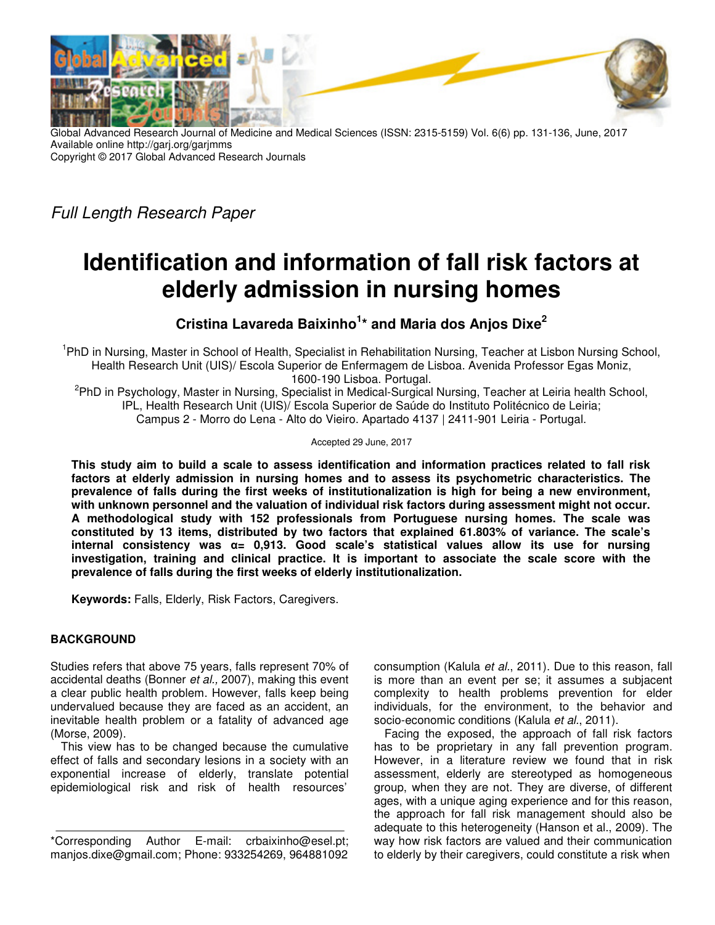

Global Advanced Research Journal of Medicine and Medical Sciences (ISSN: 2315-5159) Vol. 6(6) pp. 131-136, June, 2017 Available online http://garj.org/garjmms Copyright © 2017 Global Advanced Research Journals

Full Length Research Paper

# **Identification and information of fall risk factors at elderly admission in nursing homes**

**Cristina Lavareda Baixinho<sup>1</sup> \* and Maria dos Anjos Dixe<sup>2</sup>**

<sup>1</sup>PhD in Nursing, Master in School of Health, Specialist in Rehabilitation Nursing, Teacher at Lisbon Nursing School, Health Research Unit (UIS)/ Escola Superior de Enfermagem de Lisboa. Avenida Professor Egas Moniz, 1600-190 Lisboa. Portugal.

<sup>2</sup>PhD in Psychology, Master in Nursing, Specialist in Medical-Surgical Nursing, Teacher at Leiria health School, IPL, Health Research Unit (UIS)/ Escola Superior de Saúde do Instituto Politécnico de Leiria; Campus 2 - Morro do Lena - Alto do Vieiro. Apartado 4137 | 2411-901 Leiria - Portugal.

Accepted 29 June, 2017

**This study aim to build a scale to assess identification and information practices related to fall risk factors at elderly admission in nursing homes and to assess its psychometric characteristics. The prevalence of falls during the first weeks of institutionalization is high for being a new environment, with unknown personnel and the valuation of individual risk factors during assessment might not occur. A methodological study with 152 professionals from Portuguese nursing homes. The scale was constituted by 13 items, distributed by two factors that explained 61.803% of variance. The scale's internal consistency was α= 0,913. Good scale's statistical values allow its use for nursing investigation, training and clinical practice. It is important to associate the scale score with the prevalence of falls during the first weeks of elderly institutionalization.** 

**Keywords:** Falls, Elderly, Risk Factors, Caregivers.

## **BACKGROUND**

Studies refers that above 75 years, falls represent 70% of accidental deaths (Bonner et al., 2007), making this event a clear public health problem. However, falls keep being undervalued because they are faced as an accident, an inevitable health problem or a fatality of advanced age (Morse, 2009).

This view has to be changed because the cumulative effect of falls and secondary lesions in a society with an exponential increase of elderly, translate potential epidemiological risk and risk of health resources'

consumption (Kalula et al., 2011). Due to this reason, fall is more than an event per se; it assumes a subjacent complexity to health problems prevention for elder individuals, for the environment, to the behavior and socio-economic conditions (Kalula et al., 2011).

Facing the exposed, the approach of fall risk factors has to be proprietary in any fall prevention program. However, in a literature review we found that in risk assessment, elderly are stereotyped as homogeneous group, when they are not. They are diverse, of different ages, with a unique aging experience and for this reason, the approach for fall risk management should also be adequate to this heterogeneity (Hanson et al., 2009). The way how risk factors are valued and their communication to elderly by their caregivers, could constitute a risk when

<sup>\*</sup>Corresponding Author E-mail: crbaixinho@esel.pt; manjos.dixe@gmail.com; Phone: 933254269, 964881092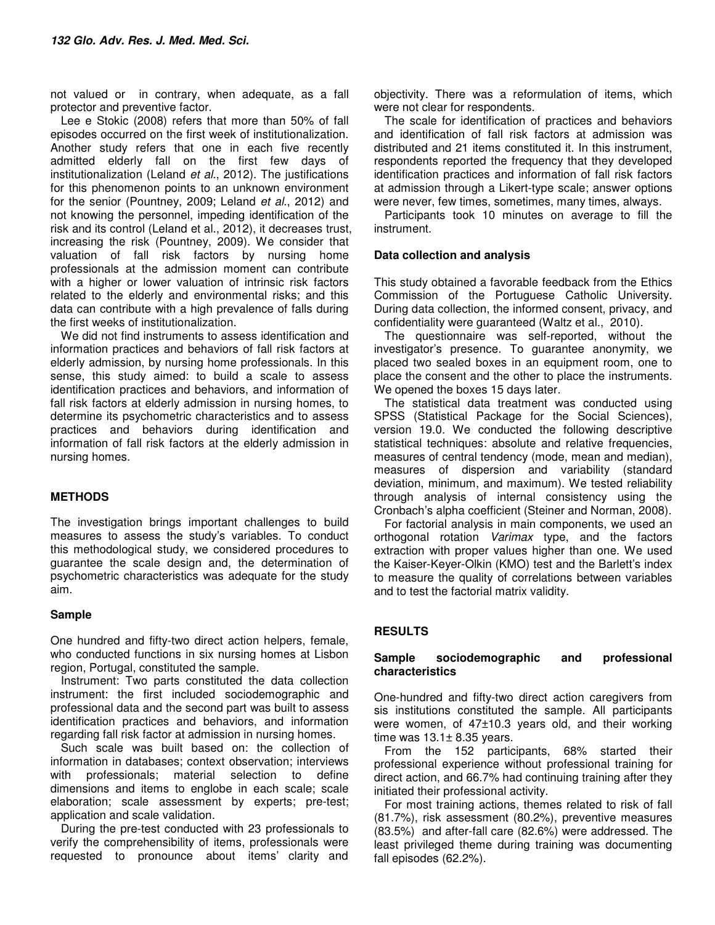not valued or in contrary, when adequate, as a fall protector and preventive factor.

Lee e Stokic (2008) refers that more than 50% of fall episodes occurred on the first week of institutionalization. Another study refers that one in each five recently admitted elderly fall on the first few days of institutionalization (Leland et al., 2012). The justifications for this phenomenon points to an unknown environment for the senior (Pountney, 2009; Leland et al., 2012) and not knowing the personnel, impeding identification of the risk and its control (Leland et al., 2012), it decreases trust, increasing the risk (Pountney, 2009). We consider that valuation of fall risk factors by nursing home professionals at the admission moment can contribute with a higher or lower valuation of intrinsic risk factors related to the elderly and environmental risks; and this data can contribute with a high prevalence of falls during the first weeks of institutionalization.

We did not find instruments to assess identification and information practices and behaviors of fall risk factors at elderly admission, by nursing home professionals. In this sense, this study aimed: to build a scale to assess identification practices and behaviors, and information of fall risk factors at elderly admission in nursing homes, to determine its psychometric characteristics and to assess practices and behaviors during identification and information of fall risk factors at the elderly admission in nursing homes.

### **METHODS**

The investigation brings important challenges to build measures to assess the study's variables. To conduct this methodological study, we considered procedures to guarantee the scale design and, the determination of psychometric characteristics was adequate for the study aim.

### **Sample**

One hundred and fifty-two direct action helpers, female, who conducted functions in six nursing homes at Lisbon region, Portugal, constituted the sample.

Instrument: Two parts constituted the data collection instrument: the first included sociodemographic and professional data and the second part was built to assess identification practices and behaviors, and information regarding fall risk factor at admission in nursing homes.

Such scale was built based on: the collection of information in databases; context observation; interviews with professionals; material selection to define dimensions and items to englobe in each scale; scale elaboration; scale assessment by experts; pre-test; application and scale validation.

During the pre-test conducted with 23 professionals to verify the comprehensibility of items, professionals were requested to pronounce about items' clarity and objectivity. There was a reformulation of items, which were not clear for respondents.

The scale for identification of practices and behaviors and identification of fall risk factors at admission was distributed and 21 items constituted it. In this instrument, respondents reported the frequency that they developed identification practices and information of fall risk factors at admission through a Likert-type scale; answer options were never, few times, sometimes, many times, always.

Participants took 10 minutes on average to fill the instrument.

### **Data collection and analysis**

This study obtained a favorable feedback from the Ethics Commission of the Portuguese Catholic University. During data collection, the informed consent, privacy, and confidentiality were guaranteed (Waltz et al., 2010).

The questionnaire was self-reported, without the investigator's presence. To guarantee anonymity, we placed two sealed boxes in an equipment room, one to place the consent and the other to place the instruments. We opened the boxes 15 days later.

The statistical data treatment was conducted using SPSS (Statistical Package for the Social Sciences), version 19.0. We conducted the following descriptive statistical techniques: absolute and relative frequencies, measures of central tendency (mode, mean and median), measures of dispersion and variability (standard deviation, minimum, and maximum). We tested reliability through analysis of internal consistency using the Cronbach's alpha coefficient (Steiner and Norman, 2008).

For factorial analysis in main components, we used an orthogonal rotation Varimax type, and the factors extraction with proper values higher than one. We used the Kaiser-Keyer-Olkin (KMO) test and the Barlett's index to measure the quality of correlations between variables and to test the factorial matrix validity.

## **RESULTS**

### **Sample sociodemographic and professional characteristics**

One-hundred and fifty-two direct action caregivers from sis institutions constituted the sample. All participants were women, of  $47\pm10.3$  years old, and their working time was  $13.1 \pm 8.35$  years.

From the 152 participants, 68% started their professional experience without professional training for direct action, and 66.7% had continuing training after they initiated their professional activity.

For most training actions, themes related to risk of fall (81.7%), risk assessment (80.2%), preventive measures (83.5%) and after-fall care (82.6%) were addressed. The least privileged theme during training was documenting fall episodes (62.2%).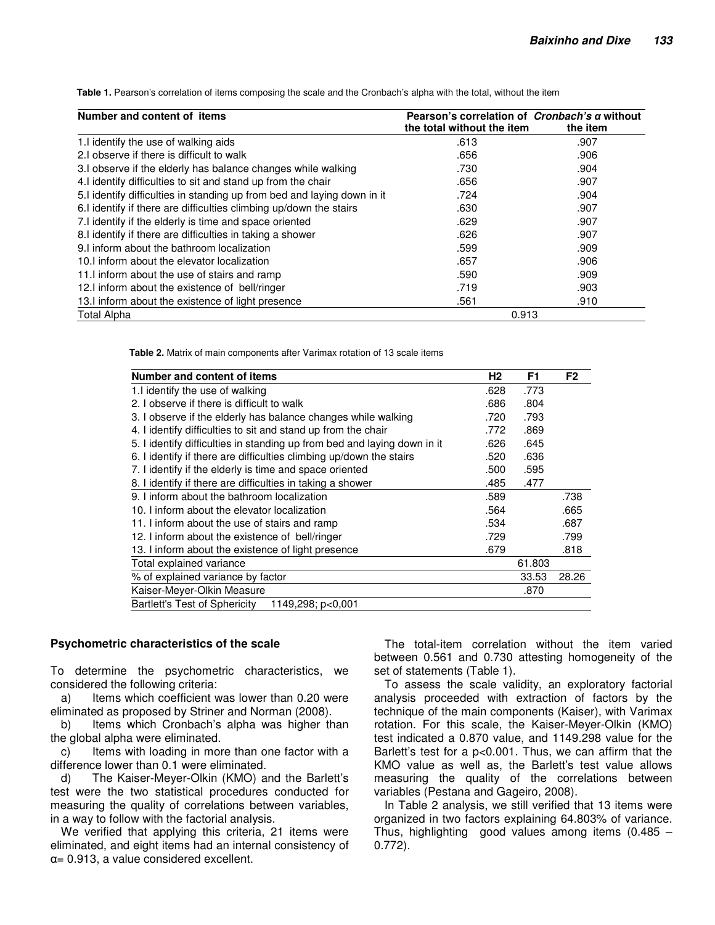**Table 1.** Pearson's correlation of items composing the scale and the Cronbach's alpha with the total, without the item

| Number and content of items                                              | Pearson's correlation of <i>Cronbach's a</i> without<br>the total without the item | the item |
|--------------------------------------------------------------------------|------------------------------------------------------------------------------------|----------|
| 1. I identify the use of walking aids                                    | .613                                                                               | .907     |
| 2.I observe if there is difficult to walk                                | .656                                                                               | .906     |
| 3.I observe if the elderly has balance changes while walking             | .730                                                                               | .904     |
| 4. I identify difficulties to sit and stand up from the chair            | .656                                                                               | .907     |
| 5. I identify difficulties in standing up from bed and laying down in it | .724                                                                               | .904     |
| 6.I identify if there are difficulties climbing up/down the stairs       | .630                                                                               | .907     |
| 7.I identify if the elderly is time and space oriented                   | .629                                                                               | .907     |
| 8.I identify if there are difficulties in taking a shower                | .626                                                                               | .907     |
| 9. I inform about the bathroom localization                              | .599                                                                               | .909     |
| 10. I inform about the elevator localization                             | .657                                                                               | .906     |
| 11. I inform about the use of stairs and ramp                            | .590                                                                               | .909     |
| 12.I inform about the existence of bell/ringer                           | .719                                                                               | .903     |
| 13. I inform about the existence of light presence                       | .561                                                                               | .910     |
| Total Alpha                                                              | 0.913                                                                              |          |

**Table 2.** Matrix of main components after Varimax rotation of 13 scale items

| <b>Number and content of items</b>                                       | H <sub>2</sub> | F <sub>1</sub> | F <sub>2</sub> |
|--------------------------------------------------------------------------|----------------|----------------|----------------|
| 1. I identify the use of walking                                         | .628           | .773           |                |
| 2. I observe if there is difficult to walk                               | .686           | .804           |                |
| 3. I observe if the elderly has balance changes while walking            | .720           | .793           |                |
| 4. I identify difficulties to sit and stand up from the chair            | .772           | .869           |                |
| 5. I identify difficulties in standing up from bed and laying down in it | .626           | .645           |                |
| 6. I identify if there are difficulties climbing up/down the stairs      | .520           | .636           |                |
| 7. I identify if the elderly is time and space oriented                  | .500           | .595           |                |
| 8. I identify if there are difficulties in taking a shower               | .485           | .477           |                |
| 9. Linform about the bathroom localization                               | .589           |                | .738           |
| 10. Linform about the elevator localization                              | .564           |                | .665           |
| 11. I inform about the use of stairs and ramp                            | .534           |                | .687           |
| 12. I inform about the existence of bell/ringer                          | .729           |                | .799           |
| 13. I inform about the existence of light presence                       | .679           |                | .818           |
| Total explained variance                                                 |                | 61.803         |                |
| % of explained variance by factor                                        |                | 33.53          | 28.26          |
| Kaiser-Meyer-Olkin Measure                                               |                | .870           |                |
| <b>Bartlett's Test of Sphericity</b><br>1149,298; p<0,001                |                |                |                |

#### **Psychometric characteristics of the scale**

To determine the psychometric characteristics, we considered the following criteria:

a) Items which coefficient was lower than 0.20 were eliminated as proposed by Striner and Norman (2008).

b) Items which Cronbach's alpha was higher than the global alpha were eliminated.

c) Items with loading in more than one factor with a difference lower than 0.1 were eliminated.

d) The Kaiser-Meyer-Olkin (KMO) and the Barlett's test were the two statistical procedures conducted for measuring the quality of correlations between variables, in a way to follow with the factorial analysis.

We verified that applying this criteria, 21 items were eliminated, and eight items had an internal consistency of α= 0.913, a value considered excellent.

The total-item correlation without the item varied between 0.561 and 0.730 attesting homogeneity of the set of statements (Table 1).

To assess the scale validity, an exploratory factorial analysis proceeded with extraction of factors by the technique of the main components (Kaiser), with Varimax rotation. For this scale, the Kaiser-Meyer-Olkin (KMO) test indicated a 0.870 value, and 1149.298 value for the Barlett's test for a p<0.001. Thus, we can affirm that the KMO value as well as, the Barlett's test value allows measuring the quality of the correlations between variables (Pestana and Gageiro, 2008).

In Table 2 analysis, we still verified that 13 items were organized in two factors explaining 64.803% of variance. Thus, highlighting good values among items (0.485 – 0.772).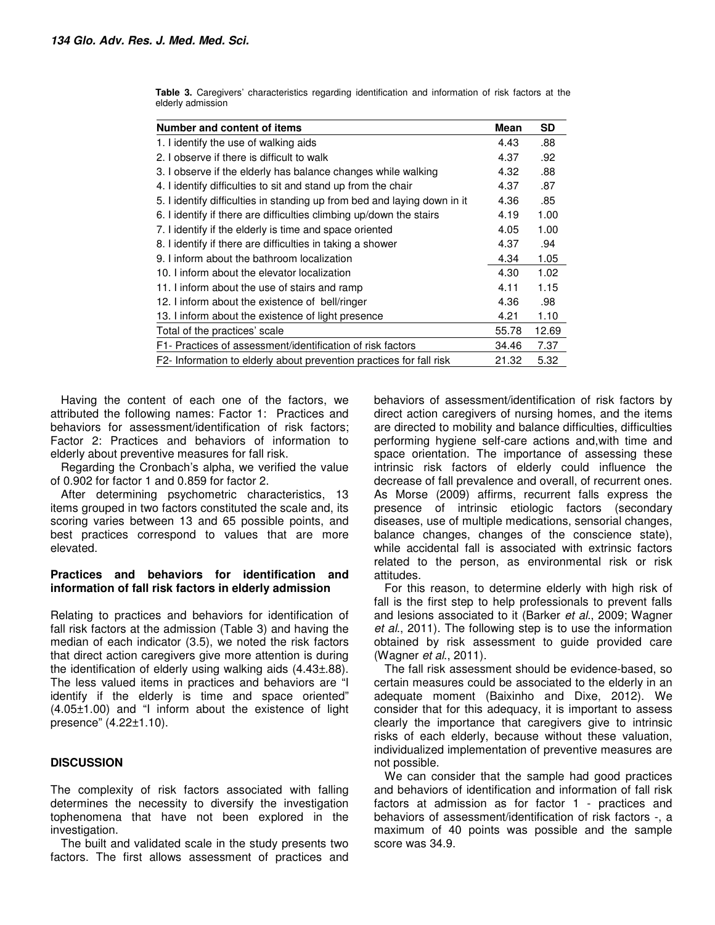| Number and content of items                                              | <b>Mean</b> | <b>SD</b> |
|--------------------------------------------------------------------------|-------------|-----------|
| 1. I identify the use of walking aids                                    | 4.43        | .88       |
| 2. I observe if there is difficult to walk                               | 4.37        | .92       |
| 3. I observe if the elderly has balance changes while walking            | 4.32        | .88       |
| 4. I identify difficulties to sit and stand up from the chair            | 4.37        | .87       |
| 5. I identify difficulties in standing up from bed and laying down in it | 4.36        | .85       |
| 6. I identify if there are difficulties climbing up/down the stairs      | 4.19        | 1.00      |
| 7. I identify if the elderly is time and space oriented                  | 4.05        | 1.00      |
| 8. I identify if there are difficulties in taking a shower               | 4.37        | .94       |
| 9. I inform about the bathroom localization                              | 4.34        | 1.05      |
| 10. Linform about the elevator localization                              | 4.30        | 1.02      |
| 11. I inform about the use of stairs and ramp                            | 4.11        | 1.15      |
| 12. I inform about the existence of bell/ringer                          | 4.36        | .98       |
| 13. I inform about the existence of light presence                       | 4.21        | 1.10      |
| Total of the practices' scale                                            | 55.78       | 12.69     |
| F1- Practices of assessment/identification of risk factors               | 34.46       | 7.37      |
| F2- Information to elderly about prevention practices for fall risk      | 21.32       | 5.32      |

**Table 3.** Caregivers' characteristics regarding identification and information of risk factors at the elderly admission

Having the content of each one of the factors, we attributed the following names: Factor 1: Practices and behaviors for assessment/identification of risk factors; Factor 2: Practices and behaviors of information to elderly about preventive measures for fall risk.

Regarding the Cronbach's alpha, we verified the value of 0.902 for factor 1 and 0.859 for factor 2.

After determining psychometric characteristics, 13 items grouped in two factors constituted the scale and, its scoring varies between 13 and 65 possible points, and best practices correspond to values that are more elevated.

#### **Practices and behaviors for identification and information of fall risk factors in elderly admission**

Relating to practices and behaviors for identification of fall risk factors at the admission (Table 3) and having the median of each indicator (3.5), we noted the risk factors that direct action caregivers give more attention is during the identification of elderly using walking aids (4.43±.88). The less valued items in practices and behaviors are "I identify if the elderly is time and space oriented" (4.05±1.00) and "I inform about the existence of light presence" (4.22±1.10).

## **DISCUSSION**

The complexity of risk factors associated with falling determines the necessity to diversify the investigation tophenomena that have not been explored in the investigation.

The built and validated scale in the study presents two factors. The first allows assessment of practices and

behaviors of assessment/identification of risk factors by direct action caregivers of nursing homes, and the items are directed to mobility and balance difficulties, difficulties performing hygiene self-care actions and,with time and space orientation. The importance of assessing these intrinsic risk factors of elderly could influence the decrease of fall prevalence and overall, of recurrent ones. As Morse (2009) affirms, recurrent falls express the presence of intrinsic etiologic factors (secondary diseases, use of multiple medications, sensorial changes, balance changes, changes of the conscience state), while accidental fall is associated with extrinsic factors related to the person, as environmental risk or risk attitudes.

For this reason, to determine elderly with high risk of fall is the first step to help professionals to prevent falls and lesions associated to it (Barker et al., 2009; Wagner et al., 2011). The following step is to use the information obtained by risk assessment to guide provided care (Wagner et al., 2011).

The fall risk assessment should be evidence-based, so certain measures could be associated to the elderly in an adequate moment (Baixinho and Dixe, 2012). We consider that for this adequacy, it is important to assess clearly the importance that caregivers give to intrinsic risks of each elderly, because without these valuation, individualized implementation of preventive measures are not possible.

We can consider that the sample had good practices and behaviors of identification and information of fall risk factors at admission as for factor 1 - practices and behaviors of assessment/identification of risk factors -, a maximum of 40 points was possible and the sample score was 34.9.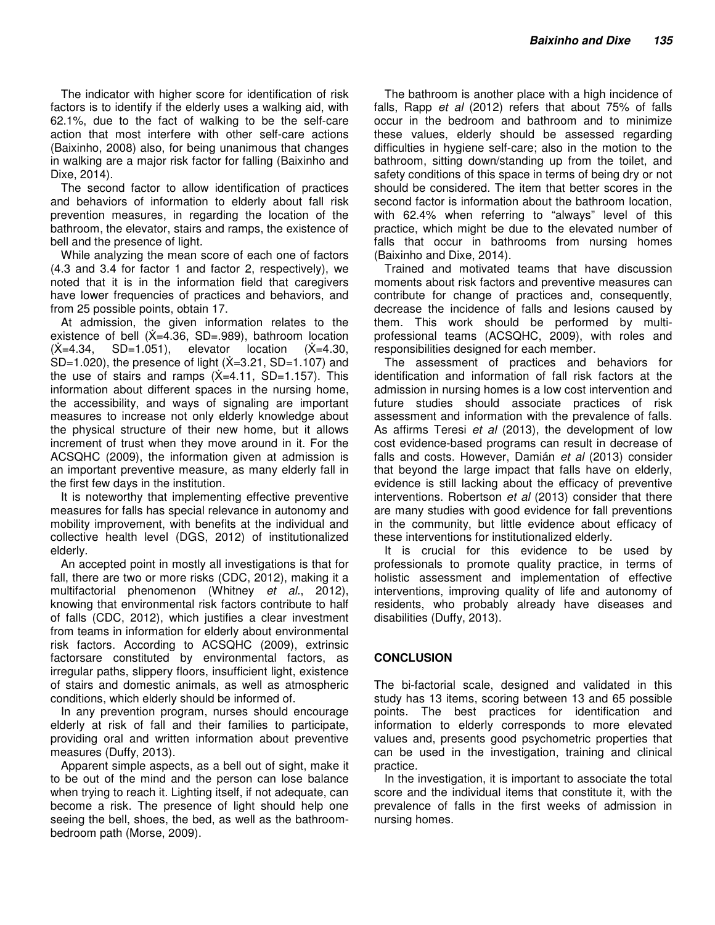The indicator with higher score for identification of risk factors is to identify if the elderly uses a walking aid, with 62.1%, due to the fact of walking to be the self-care action that most interfere with other self-care actions (Baixinho, 2008) also, for being unanimous that changes in walking are a major risk factor for falling (Baixinho and Dixe, 2014).

The second factor to allow identification of practices and behaviors of information to elderly about fall risk prevention measures, in regarding the location of the bathroom, the elevator, stairs and ramps, the existence of bell and the presence of light.

While analyzing the mean score of each one of factors (4.3 and 3.4 for factor 1 and factor 2, respectively), we noted that it is in the information field that caregivers have lower frequencies of practices and behaviors, and from 25 possible points, obtain 17.

At admission, the given information relates to the existence of bell  $(X=4.36, SD=.989)$ , bathroom location  $(X=4.34, SD=1.051)$ , elevator location  $(X=4.30,$ SD=1.020), the presence of light  $(X=3.21, SD=1.107)$  and the use of stairs and ramps  $(X=4.11, SD=1.157)$ . This information about different spaces in the nursing home, the accessibility, and ways of signaling are important measures to increase not only elderly knowledge about the physical structure of their new home, but it allows increment of trust when they move around in it. For the ACSQHC (2009), the information given at admission is an important preventive measure, as many elderly fall in the first few days in the institution.

It is noteworthy that implementing effective preventive measures for falls has special relevance in autonomy and mobility improvement, with benefits at the individual and collective health level (DGS, 2012) of institutionalized elderly.

An accepted point in mostly all investigations is that for fall, there are two or more risks (CDC, 2012), making it a multifactorial phenomenon (Whitney et al., 2012), knowing that environmental risk factors contribute to half of falls (CDC, 2012), which justifies a clear investment from teams in information for elderly about environmental risk factors. According to ACSQHC (2009), extrinsic factorsare constituted by environmental factors, as irregular paths, slippery floors, insufficient light, existence of stairs and domestic animals, as well as atmospheric conditions, which elderly should be informed of.

In any prevention program, nurses should encourage elderly at risk of fall and their families to participate, providing oral and written information about preventive measures (Duffy, 2013).

Apparent simple aspects, as a bell out of sight, make it to be out of the mind and the person can lose balance when trying to reach it. Lighting itself, if not adequate, can become a risk. The presence of light should help one seeing the bell, shoes, the bed, as well as the bathroombedroom path (Morse, 2009).

The bathroom is another place with a high incidence of falls, Rapp *et al* (2012) refers that about 75% of falls occur in the bedroom and bathroom and to minimize these values, elderly should be assessed regarding difficulties in hygiene self-care; also in the motion to the bathroom, sitting down/standing up from the toilet, and safety conditions of this space in terms of being dry or not should be considered. The item that better scores in the second factor is information about the bathroom location, with 62.4% when referring to "always" level of this practice, which might be due to the elevated number of falls that occur in bathrooms from nursing homes (Baixinho and Dixe, 2014).

Trained and motivated teams that have discussion moments about risk factors and preventive measures can contribute for change of practices and, consequently, decrease the incidence of falls and lesions caused by them. This work should be performed by multiprofessional teams (ACSQHC, 2009), with roles and responsibilities designed for each member.

The assessment of practices and behaviors for identification and information of fall risk factors at the admission in nursing homes is a low cost intervention and future studies should associate practices of risk assessment and information with the prevalence of falls. As affirms Teresi et al (2013), the development of low cost evidence-based programs can result in decrease of falls and costs. However, Damián et al (2013) consider that beyond the large impact that falls have on elderly, evidence is still lacking about the efficacy of preventive interventions. Robertson et al (2013) consider that there are many studies with good evidence for fall preventions in the community, but little evidence about efficacy of these interventions for institutionalized elderly.

It is crucial for this evidence to be used by professionals to promote quality practice, in terms of holistic assessment and implementation of effective interventions, improving quality of life and autonomy of residents, who probably already have diseases and disabilities (Duffy, 2013).

## **CONCLUSION**

The bi-factorial scale, designed and validated in this study has 13 items, scoring between 13 and 65 possible points. The best practices for identification and information to elderly corresponds to more elevated values and, presents good psychometric properties that can be used in the investigation, training and clinical practice.

In the investigation, it is important to associate the total score and the individual items that constitute it, with the prevalence of falls in the first weeks of admission in nursing homes.